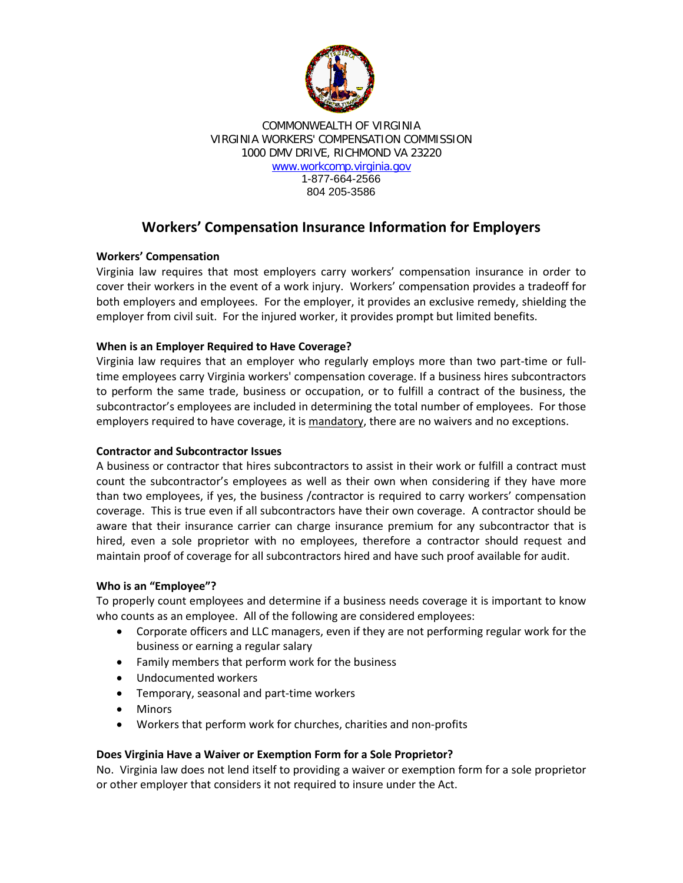

COMMONWEALTH OF VIRGINIA VIRGINIA WORKERS' COMPENSATION COMMISSION 1000 DMV DRIVE, RICHMOND VA 23220 [www.workcomp.virginia.gov](http://www.workcomp.virginia.gov/) 1-877-664-2566

804 205-3586

# **Workers' Compensation Insurance Information for Employers**

# **Workers' Compensation**

Virginia law requires that most employers carry workers' compensation insurance in order to cover their workers in the event of a work injury. Workers' compensation provides a tradeoff for both employers and employees. For the employer, it provides an exclusive remedy, shielding the employer from civil suit. For the injured worker, it provides prompt but limited benefits.

# **When is an Employer Required to Have Coverage?**

Virginia law requires that an employer who regularly employs more than two part-time or fulltime employees carry Virginia workers' compensation coverage. If a business hires subcontractors to perform the same trade, business or occupation, or to fulfill a contract of the business, the subcontractor's employees are included in determining the total number of employees. For those employers required to have coverage, it is mandatory, there are no waivers and no exceptions.

### **Contractor and Subcontractor Issues**

A business or contractor that hires subcontractors to assist in their work or fulfill a contract must count the subcontractor's employees as well as their own when considering if they have more than two employees, if yes, the business /contractor is required to carry workers' compensation coverage. This is true even if all subcontractors have their own coverage. A contractor should be aware that their insurance carrier can charge insurance premium for any subcontractor that is hired, even a sole proprietor with no employees, therefore a contractor should request and maintain proof of coverage for all subcontractors hired and have such proof available for audit.

### **Who is an "Employee"?**

To properly count employees and determine if a business needs coverage it is important to know who counts as an employee. All of the following are considered employees:

- Corporate officers and LLC managers, even if they are not performing regular work for the business or earning a regular salary
- Family members that perform work for the business
- Undocumented workers
- Temporary, seasonal and part-time workers
- Minors
- Workers that perform work for churches, charities and non-profits

### **Does Virginia Have a Waiver or Exemption Form for a Sole Proprietor?**

No. Virginia law does not lend itself to providing a waiver or exemption form for a sole proprietor or other employer that considers it not required to insure under the Act.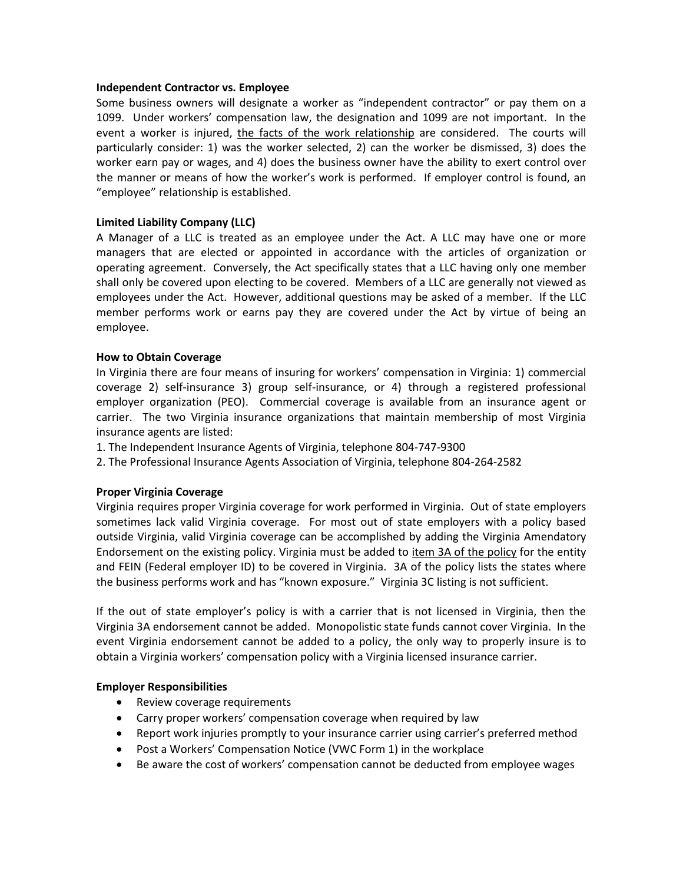#### **Independent Contractor vs. Employee**

Some business owners will designate a worker as "independent contractor" or pay them on a 1099. Under workers' compensation law, the designation and 1099 are not important. In the event a worker is injured, the facts of the work relationship are considered. The courts will particularly consider: 1) was the worker selected, 2) can the worker be dismissed, 3) does the worker earn pay or wages, and 4) does the business owner have the ability to exert control over the manner or means of how the worker's work is performed. If employer control is found, an "employee" relationship is established.

#### **Limited Liability Company (LLC)**

A Manager of a LLC is treated as an employee under the Act. A LLC may have one or more managers that are elected or appointed in accordance with the articles of organization or operating agreement. Conversely, the Act specifically states that a LLC having only one member shall only be covered upon electing to be covered. Members of a LLC are generally not viewed as employees under the Act. However, additional questions may be asked of a member. If the LLC member performs work or earns pay they are covered under the Act by virtue of being an employee.

#### **How to Obtain Coverage**

In Virginia there are four means of insuring for workers' compensation in Virginia: 1) commercial coverage 2) self-insurance 3) group self-insurance, or 4) through a registered professional employer organization (PEO). Commercial coverage is available from an insurance agent or carrier. The two Virginia insurance organizations that maintain membership of most Virginia insurance agents are listed:

- 1. The Independent Insurance Agents of Virginia, telephone 804-747-9300
- 2. The Professional Insurance Agents Association of Virginia, telephone 804-264-2582

#### **Proper Virginia Coverage**

Virginia requires proper Virginia coverage for work performed in Virginia. Out of state employers sometimes lack valid Virginia coverage. For most out of state employers with a policy based outside Virginia, valid Virginia coverage can be accomplished by adding the Virginia Amendatory Endorsement on the existing policy. Virginia must be added to item 3A of the policy for the entity and FEIN (Federal employer ID) to be covered in Virginia. 3A of the policy lists the states where the business performs work and has "known exposure." Virginia 3C listing is not sufficient.

If the out of state employer's policy is with a carrier that is not licensed in Virginia, then the Virginia 3A endorsement cannot be added. Monopolistic state funds cannot cover Virginia. In the event Virginia endorsement cannot be added to a policy, the only way to properly insure is to obtain a Virginia workers' compensation policy with a Virginia licensed insurance carrier.

#### **Employer Responsibilities**

- Review coverage requirements
- Carry proper workers' compensation coverage when required by law
- Report work injuries promptly to your insurance carrier using carrier's preferred method
- Post a Workers' Compensation Notice (VWC Form 1) in the workplace
- Be aware the cost of workers' compensation cannot be deducted from employee wages